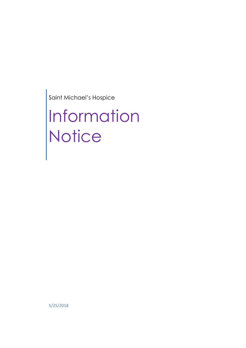Saint Michael's Hospice

# Information **Notice**

5/25/2018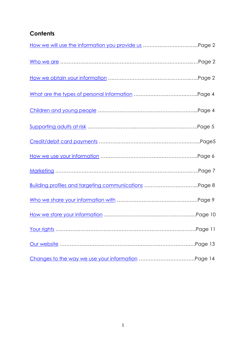# <span id="page-1-0"></span>**Contents**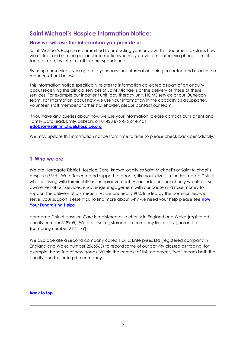# **Saint Michael's Hospice Information Notice:**

# <span id="page-2-0"></span>**How we will use the information you provide us.**

Saint Michael's Hospice is committed to protecting your privacy. This document explains how we collect and use the personal information you may provide us online, via phone, e-mail, face to face, by letter or other correspondence.

By using our services, you agree to your personal information being collected and used in the manner set out below.

This information notice specifically relates to information collected as part of an enquiry about receiving the clinical services of Saint Michael's or the delivery of these of these services. For example our inpatient unit, day therapy unit, HOME service or our Outreach team. For information about how we use your information in the capacity as a supporter, volunteer, staff member or other stakeholder, please contact our team.

If you have any queries about how we use your information, please contact our Patient and Family Data lead, Emily Dobson, on 01423 876 476 or email **[edobson@](mailto:edobson)saintmichaelshospice.org**

<span id="page-2-1"></span>We may update this information notice from time to time so please check back periodically.

# **1. Who we are**

We are Harrogate District Hospice Care, known locally as Saint Michael's or Saint Michael's Hospice (SMH). We offer care and support to people, like yourselves, in the Harrogate District who are living with terminal illness or bereavement. As an independent charity we also raise awareness of our services, encourage engagement with our cause and raise money to support the delivery of our mission. As we are nearly 90% funded by the communities we serve, your support is essential. To find more about why we need your help please see **[How](http://www.saintmichaelshospice.org/fundraising/how-fundraising-helps)  [Your Fundraising Helps](http://www.saintmichaelshospice.org/fundraising/how-fundraising-helps)**

Harrogate District Hospice Care is registered as a charity in England and Wales (registered charity number 518905). We are also registered as a company limited by guarantee (company number 2121179).

We also operate a second company called HDHC Enterprises Ltd (registered company in England and Wales number 2566563) to record some of our activity classed as trading, for example the selling of new goods. Within the context of this statement, "we" means both the charity and this enterprise company.

# **[Back to top](#page-1-0)**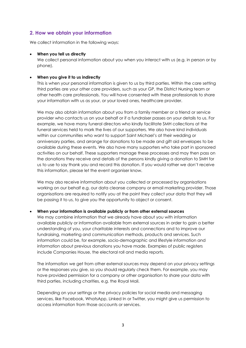# <span id="page-3-0"></span>**2. How we obtain your information**

We collect information in the following ways:

#### • **When you tell us directly**

We collect personal information about you when you interact with us (e.g. in person or by phone).

#### • **When you give it to us indirectly**

This is when your personal information is given to us by third parties. Within the care setting third parties are your other care providers, such as your GP, the District Nursing team or other health care professionals. You will have consented with these professionals to share your information with us as your, or your loved ones, healthcare provider.

We may also obtain information about you from a family member or a friend or service provider who contacts us on your behalf or if a fundraiser passes on your details to us. For example, we have many funeral directors who kindly facilitate SMH collections at the funeral services held to mark the lives of our supporters. We also have kind individuals within our communities who want to support Saint Michael's at their wedding or anniversary parties, and arrange for donations to be made and gift aid envelopes to be available during these events. We also have many supporters who take part in sponsored activities on our behalf. These supporters manage these processes and may then pass on the donations they receive and details of the persons kindly giving a donation to SMH for us to use to say thank you and record this donation. If you would rather we don't receive this information, please let the event organiser know.

We may also receive information about you collected or processed by organisations working on our behalf e.g. our data cleanse company or email marketing provider. Those organisations are required to notify you at the point they collect your data that they will be passing it to us, to give you the opportunity to object or consent.

# • **When your information is available publicly or from other external sources**

We may combine information that we already have about you with information available publicly or information available from external sources in order to gain a better understanding of you, your charitable interests and connections and to improve our fundraising, marketing and communication methods, products and services. Such information could be, for example, socio-demographic and lifestyle information and information about previous donations you have made. Examples of public registers include Companies House, the electoral roll and media reports.

The information we get from other external sources may depend on your privacy settings or the responses you give, so you should regularly check them. For example, you may have provided permission for a company or other organisation to share your data with third parties, including charities, e.g. the Royal Mail.

Depending on your settings or the privacy policies for social media and messaging services, like Facebook, WhatsApp, Linked In or Twitter, you might give us permission to access information from those accounts or services.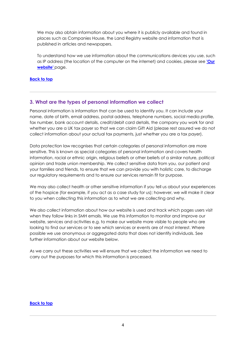We may also obtain information about you where it is publicly available and found in places such as Companies House, the Land Registry website and information that is published in articles and newspapers.

To understand how we use information about the communications devices you use, such as IP address (the location of the computer on the internet) and cookies, please see **['Our](http://www.saintmichaelshospice.org/privacy-policy-cookies)  [website'](http://www.saintmichaelshospice.org/privacy-policy-cookies)** page.

# **[Back to top](#page-1-0)**

# <span id="page-4-0"></span>**3. What are the types of personal information we collect**

Personal information is information that can be used to identify you. It can include your name, date of birth, email address, postal address, telephone numbers, social media profile, fax number, bank account details, credit/debit card details, the company you work for and whether you are a UK tax payer so that we can claim Gift Aid (please rest assured we do not collect information about your actual tax payments, just whether you are a tax payer).

Data protection law recognises that certain categories of personal information are more sensitive. This is known as special categories of personal information and covers health information, racial or ethnic origin, religious beliefs or other beliefs of a similar nature, political opinion and trade union membership. We collect sensitive data from you, our patient and your families and friends, to ensure that we can provide you with holistic care, to discharge our regulatory requirements and to ensure our services remain fit for purpose.

We may also collect health or other sensitive information if you tell us about your experiences of the hospice (for example, if you act as a case study for us); however, we will make it clear to you when collecting this information as to what we are collecting and why.

We also collect information about how our website is used and track which pages users visit when they follow links in SMH emails. We use this information to monitor and improve our website, services and activities e.g. to make our website more visible to people who are looking to find our services or to see which services or events are of most interest. Where possible we use anonymous or aggregated data that does not identify individuals. See further information about [our](https://www.mariecurie.org.uk/privacy/cookie-policy) website below.

As we carry out these activities we will ensure that we collect the information we need to carry out the purposes for which this information is processed.

#### **[Back to top](#page-1-0)**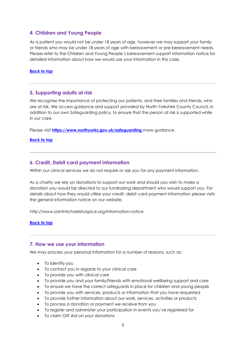# <span id="page-5-0"></span>**4. Children and Young People**

As a patient you would not be under 18 years of age, however we may support your family or friends who may be under 18 years of age with bereavement or pre-bereavement needs. Please refer to the Children and Young People's bereavement support information notice for detailed information about how we would use your information in this case.

#### **[Back to top](#page-1-0)**

# <span id="page-5-1"></span>**5. Supporting adults at risk**

We recognise the importance of protecting our patients, and their families and friends, who are at risk. We access guidance and support provided by North Yorkshire County Council, in addition to our own Safeguarding policy, to ensure that the person at risk is supported while in our care.

Please visit **<https://www.northyorks.gov.uk/safeguarding>** more guidance.

#### **[Back to top](#page-1-0)**

# <span id="page-5-2"></span>**6. Credit, Debit card payment information**

Within our clinical services we do not require or ask you for any payment information.

As a charity we rely on donations to support our work and should you wish to make a donation you would be directed to our fundraising department who would support you. For details about how they would utilise your credit, debit card payment information please visits the general information notice on our website.

http://www.saintmichaelshospice.org/information-notice

#### **[Back to top](#page-1-0)**

#### <span id="page-5-3"></span>**7. How we use your information**

We may process your personal information for a number of reasons, such as:

- To identify you
- To contact you in regards to your clinical care
- To provide you with clinical care
- To provide you and your family/friends with emotional wellbeing support and care
- To ensure we have the correct safeguards in place for children and young people
- To provide you with services, products or information that you have requested
- To provide further information about our work, services, activities or products
- To process a donation or payment we receive from you
- To register and administer your participation in events you've registered for
- To claim Gift Aid on your donations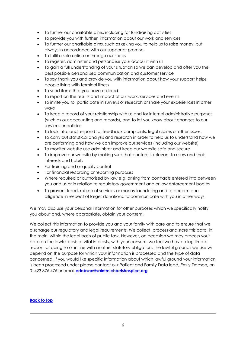- To further our charitable aims, including for fundraising activities
- To provide you with further information about our work and services
- To further our charitable aims, such as asking you to help us to raise money, but always in accordance with our supporter promise
- To fulfil a sale online or through our shops
- To register, administer and personalise your account with us
- To gain a full understanding of your situation so we can develop and offer you the best possible personalised communication and customer service
- To say thank you and provide you with information about how your support helps people living with terminal illness
- To send items that you have ordered
- To report on the results and impact of our work, services and events
- To invite you to participate in surveys or research or share your experiences in other ways
- To keep a record of your relationship with us and for internal administrative purposes (such as our accounting and records), and to let you know about changes to our services or policies
- To look into, and respond to, feedback complaints, legal claims or other issues.
- To carry out statistical analysis and research in order to help us to understand how we are performing and how we can improve our services (including our website)
- To monitor website use administer and keep our website safe and secure
- To improve our website by making sure that content is relevant to users and their interests and habits
- For training and or quality control
- For financial recording or reporting purposes
- Where required or authorised by law e.g. arising from contracts entered into between you and us or in relation to regulatory government and or law enforcement bodies
- To prevent fraud, misuse of services or money laundering and to perform due diligence in respect of larger donations, to communicate with you in other ways

We may also use your personal information for other purposes which we specifically notify you about and, where appropriate, obtain your consent.

We collect this information to provide you and your family with care and to ensure that we discharge our regulatory and legal requirements. We collect, process and store this data, in the main, within the legal basis of public task. However, on occasion we may process your data on the lawful basis of vital interests, with your consent, we feel we have a legitimate reason for doing so or in line with another statutory obligation. The lawful grounds we use will depend on the purpose for which your information is processed and the type of data concerned. If you would like specific information about which lawful ground your information is been processed under please contact our Patient and Family Data lead, Emily Dobson, on 01423 876 476 or email **[edobson@](mailto:edobson)saintmichaelshospice.org**

# **[Back to top](#page-1-0)**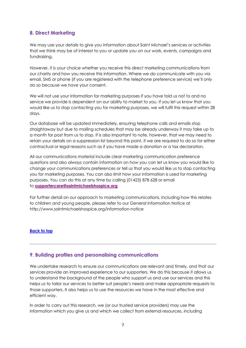# <span id="page-7-0"></span>**8. Direct Marketing**

We may use your details to give you information about Saint Michael's services or activities that we think may be of interest to you or update you on our work, events, campaigns and fundraising.

However, it is your choice whether you receive this direct marketing communications from our charity and how you receive this information. Where we do communicate with you via email, SMS or phone (if you are registered with the telephone preference service) we'll only do so because we have your consent.

We will not use your information for marketing purposes if you have told us not to and no service we provide is dependent on our ability to market to you. If you let us know that you would like us to stop contacting you for marketing purposes, we will fulfil this request within 28 days.

Our database will be updated immediately, ensuring telephone calls and emails stop straightaway but due to mailing schedules that may be already underway it may take up to a month for post from us to stop. It is also important to note, however, that we may need to retain your details on a suppression list beyond this point, if we are required to do so for either contractual or legal reasons such as if you have made a donation or a tax declaration.

All our communications material include clear marketing communication preference questions and also always contain information on how you can let us know you would like to change your communications preferences or tell us that you would like us to stop contacting you for marketing purposes. You can also limit how your information is used for marketing purposes. You can do this at any time by calling (01423) 878 628 or email to **[supportercare@saintmichaelshospice.org](mailto:supportercare@saintmichaelshospice.org)**

For further detail on our approach to marketing communications, including how this relates to children and young people, please refer to our General Information Notice at http://www.saintmichaelshospice.org/information-notice

# **[Back to top](#page-1-0)**

# <span id="page-7-1"></span>**9**. **Building profiles and personalising communications**

We undertake research to ensure our communications are relevant and timely, and that our services provide an improved experience to our supporters. We do this because it allows us to understand the background of the people who support us and use our services and this helps us to tailor our services to better suit people's needs and make appropriate requests to those supporters. It also helps us to use the resources we have in the most effective and efficient way.

In order to carry out this research, we (or our trusted service providers) may use the information which you give us and which we collect from external resources, including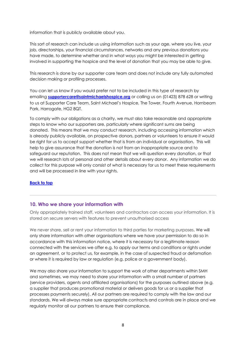information that is publicly available about you.

This sort of research can include us using information such as your age, where you live, your job, directorships, your financial circumstances, networks and any previous donations you have made, to determine whether and in what ways you might be interested in getting involved in supporting the hospice and the level of donation that you may be able to give.

This research is done by our supporter care team and does not include any fully automated decision making or profiling processes.

You can let us know if you would prefer not to be included in this type of research by emailing **supporter[care@saintmichaelshospice.org](mailto:care@saintmichaelshospice.org)** or calling us on (01423) 878 628 or writing to us at Supporter Care Team, Saint Michael's Hospice, The Tower, Fourth Avenue, Hornbeam Park, Harrogate, HG2 8QT.

To comply with our obligations as a charity, we must also take reasonable and appropriate steps to know who our supporters are, particularly where significant sums are being donated. This means that we may conduct research, including accessing information which is already publicly available, on prospective donors, partners or volunteers to ensure it would be right for us to accept support whether that is from an individual or organisation. This will help to give assurance that the donation is not from an inappropriate source and to safeguard our reputation. This does not mean that we will question every donation, or that we will research lots of personal and other details about every donor. Any information we do collect for this purpose will only consist of what is necessary for us to meet these requirements and will be processed in line with your rights.

#### **[Back to top](#page-1-0)**

# <span id="page-8-0"></span>**10. Who we share your information with**

Only appropriately trained staff, volunteers and contractors can access your information. It is stored on secure servers with features to prevent unauthorised access

We never share, sell or rent your information to third parties for marketing purposes. We will only share information with other organisations where we have your permission to do so in accordance with this information notice, where it is necessary for a legitimate reason connected with the services we offer e.g. to apply our terms and conditions or rights under an agreement, or to protect us, for example, in the case of suspected fraud or defamation or where it is required by law or regulation (e.g. police or a government body).

We may also share your information to support the work of other departments within SMH and sometimes, we may need to share your information with a small number of partners (service providers, agents and affiliated organisations) for the purposes outlined above (e.g. a supplier that produces promotional material or delivers goods for us or a supplier that processes payments securely). All our partners are required to comply with the law and our standards. We will always make sure appropriate contracts and controls are in place and we regularly monitor all our partners to ensure their compliance.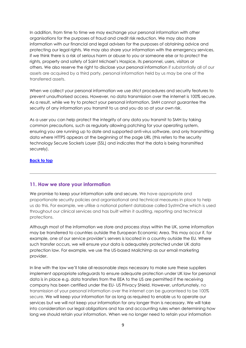In addition, from time to time we may exchange your personal information with other organisations for the purposes of fraud and credit risk reduction. We may also share information with our financial and legal advisers for the purposes of obtaining advice and protecting our legal rights. We may also share your information with the emergency services, if we think there is a risk of serious harm or abuse to you or someone else or to protect the rights, property and safety of Saint Michael's Hospice, its personnel, users, visitors or others. We also reserve the right to disclose your personal information if substantially all of our assets are acquired by a third party, personal information held by us may be one of the transferred assets.

When we collect your personal information we use strict procedures and security features to prevent unauthorised access. However, no data transmission over the internet is 100% secure. As a result, while we try to protect your personal information, SMH cannot guarantee the security of any information you transmit to us and you do so at your own risk.

As a user you can help protect the integrity of any data you transmit to SMH by taking common precautions, such as regularly allowing patching for your operating system, ensuring you are running up to date and supported anti-virus software, and only transmitting data where HTTPS appears at the beginning of the page URL (this refers to the security technology Secure Sockets Layer (SSL) and indicates that the data is being transmitted securely).

# **[Back to top](#page-1-0)**

# <span id="page-9-0"></span>**11. How we store your information**

We promise to keep your information safe and secure. We have appropriate and proportionate security policies and organisational and technical measures in place to help us do this. For example, we utilise a national patient database called SystmOne which is used throughout our clinical services and has built within it auditing, reporting and technical protections.

Although most of the information we store and process stays within the UK, some information may be transferred to countries outside the European Economic Area. This may occur if, for example, one of our service provider's servers is located in a country outside the EU. Where such transfer occurs, we will ensure your data is adequately protected under UK data protection law. For example, we use the US-based Mailchimp as our email marketing provider.

In line with the law we'll take all reasonable steps necessary to make sure these suppliers implement appropriate safeguards to ensure adequate protection under UK law for personal data is in place e.g. data transfers from the EEA to the US are permitted if the receiving company has been certified under the EU- US Privacy Shield. However, unfortunately, no transmission of your personal information over the internet can be guaranteed to be 100% secure. We will keep your information for as long as required to enable us to operate our services but we will not keep your information for any longer than is necessary. We will take into consideration our legal obligations and tax and accounting rules when determining how long we should retain your information. When we no longer need to retain your information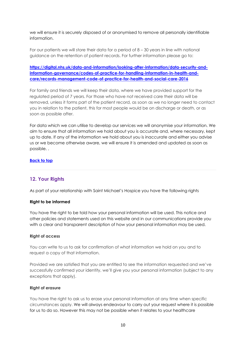we will ensure it is securely disposed of or anonymised to remove all personally identifiable information.

For our patients we will store their data for a period of 8 – 30 years in line with national guidance on the retention of patient records. For further information please go to:

**[https://digital.nhs.uk/data-and-information/looking-after-information/data-security-and](https://digital.nhs.uk/data-and-information/looking-after-information/data-security-and-information-governance/codes-of-practice-for-handling-information-in-health-and-care/records-management-code-of-practice-for-health-and-social-care-2016)[information-governance/codes-of-practice-for-handling-information-in-health-and](https://digital.nhs.uk/data-and-information/looking-after-information/data-security-and-information-governance/codes-of-practice-for-handling-information-in-health-and-care/records-management-code-of-practice-for-health-and-social-care-2016)[care/records-management-code-of-practice-for-health-and-social-care-2016](https://digital.nhs.uk/data-and-information/looking-after-information/data-security-and-information-governance/codes-of-practice-for-handling-information-in-health-and-care/records-management-code-of-practice-for-health-and-social-care-2016)**

For family and friends we will keep their data, where we have provided support for the regulated period of 7 years. For those who have not received care their data will be removed, unless it forms part of the patient record, as soon as we no longer need to contact you in relation to the patient, this for most people would be on discharge or death, or as soon as possible after.

For data which we can utilise to develop our services we will anonymise your information. We aim to ensure that all information we hold about you is accurate and, where necessary, kept up to date. If any of the information we hold about you is inaccurate and either you advise us or we become otherwise aware, we will ensure it is amended and updated as soon as possible. .

#### **[Back to top](#page-1-0)**

# <span id="page-10-0"></span>**12. Your Rights**

As part of your relationship with Saint Michael's Hospice you have the following rights

#### **Right to be informed**

You have the right to be told how your personal information will be used. This notice and other policies and statements used on this website and in our communications provide you with a clear and transparent description of how your personal information may be used.

#### **Right of access**

You can write to us to ask for confirmation of what information we hold on you and to request a copy of that information.

Provided we are satisfied that you are entitled to see the information requested and we've successfully confirmed your identity, we'll give you your personal information (subject to any exceptions that apply).

#### **Right of erasure**

You have the right to ask us to erase your personal information at any time when specific circumstances apply. We will always endeavour to carry out your request where it is possible for us to do so. However this may not be possible when it relates to your healthcare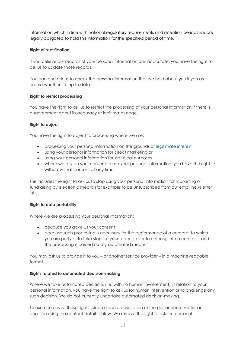information which in line with national regulatory requirements and retention periods we are legally obligated to hold this information for the specified period of time.

# **Right of rectification**

If you believe our records of your personal information are inaccurate, you have the right to ask us to update those records.

You can also ask us to check the personal information that we hold about you if you are unsure whether it is up to date.

# **Right to restrict processing**

You have the right to ask us to restrict the processing of your personal information if there is disagreement about its accuracy or legitimate usage.

# **Right to object**

You have the right to object to processing where we are:

- processing your personal information on the grounds of legitimate interest
- using your personal information for direct marketing or
- using your personal information for statistical purposes
- where we rely on your consent to use your personal information, you have the right to withdraw that consent at any time

This includes the right to ask us to stop using your personal information for marketing or fundraising by electronic means (for example to be unsubscribed from our email newsletter list).

# **Right to data portability**

Where we are processing your personal information:

- because you gave us your consent
- because such processing is necessary for the performance of a contract to which you are party or to take steps at your request prior to entering into a contract, and the processing is carried out by automated means

You may ask us to provide it to you – or another service provider – in a machine-readable format.

# **Rights related to automated decision-making**

Where we take automated decisions (i.e. with no human involvement) in relation to your personal information, you have the right to ask us for human intervention or to challenge any such decision. We do not currently undertake automated decision-making.

To exercise any of these rights, please send a description of the personal information in question using the contact details below. We reserve the right to ask for: personal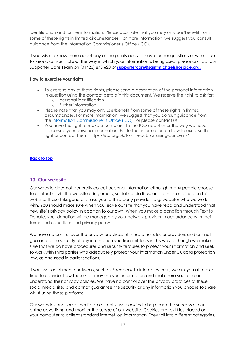identification and further information. Please also note that you may only use/benefit from some of these rights in limited circumstances. For more information, we suggest you consult guidance from the Information Commissioner's Office (ICO).

If you wish to know more about any of the points above , have further questions or would like to raise a concern about the way in which your information is being used, please contact our Supporter Care Team on (01423) 878 628 or **supportercare@saintmichaelshospice.org.** 

# **How to exercise your rights**

- To exercise any of these rights, please send a description of the personal information in question using the contact details in this document. We reserve the right to ask for:
	- o personal identification
	- o further information.
- Please note that you may only use/benefit from some of these rights in limited circumstances. For more information, we suggest that you consult guidance from the Information Commissioner's Office (ICO) or please contact us.
- You have the right to make a complaint to the ICO about us or the way we have processed your personal information. For further information on how to exercise this right or contact them, https://ico.org.uk/for-the-public/raising-concerns/

# **Back to top**

# <span id="page-12-0"></span>**13. Our website**

Our website does not generally collect personal information although many people choose to contact us via the website using emails, social media links, and forms contained on this website. These links generally take you to third party providers e.g. websites who we work with. You should make sure when you leave our site that you have read and understood that new site's privacy policy in addition to our own. When you make a donation through Text to Donate, your donation will be managed by your network provider in accordance with their terms and conditions and privacy policy.

We have no control over the privacy practices of these other sites or providers and cannot guarantee the security of any information you transmit to us in this way, although we make sure that we do have procedures and security features to protect your information and seek to work with third parties who adequately protect your information under UK data protection law, as discussed in earlier sections.

If you use social media networks, such as Facebook to interact with us, we ask you also take time to consider how these sites may use your information and make sure you read and understand their privacy policies. We have no control over the privacy practices of these social media sites and cannot guarantee the security or any information you choose to share whilst using these platforms.

Our websites and social media do currently use cookies to help track the success of our online advertising and monitor the usage of our website. Cookies are text files placed on your computer to collect standard internet log information. They fall into different categories.